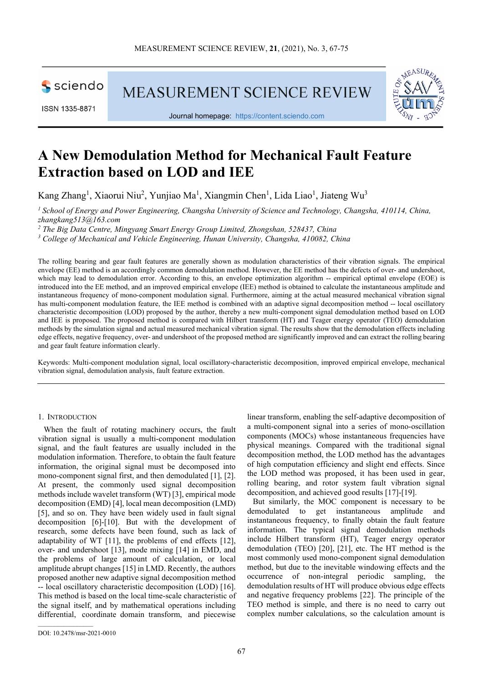

ISSN 1335-8871

MEASUREMENT SCIENCE REVIEW



Journal homepage: [https://content.sciendo.com](https://content.sciendo.com/view/journals/msr/msr-overview.xml)

# **A New Demodulation Method for Mechanical Fault Feature Extraction based on LOD and IEE**

Kang Zhang<sup>1</sup>, Xiaorui Niu<sup>2</sup>, Yunjiao Ma<sup>1</sup>, Xiangmin Chen<sup>1</sup>, Lida Liao<sup>1</sup>, Jiateng Wu<sup>3</sup>

*<sup>1</sup> School of Energy and Power Engineering, Changsha University of Science and Technology, Changsha, 410114, China, zhangkang513@163.com*

*<sup>2</sup> The Big Data Centre, Mingyang Smart Energy Group Limited, Zhongshan, 528437, China*

*<sup>3</sup> College of Mechanical and Vehicle Engineering, Hunan University, Changsha, 410082, China*

The rolling bearing and gear fault features are generally shown as modulation characteristics of their vibration signals. The empirical envelope (EE) method is an accordingly common demodulation method. However, the EE method has the defects of over- and undershoot, which may lead to demodulation error. According to this, an envelope optimization algorithm -- empirical optimal envelope (EOE) is introduced into the EE method, and an improved empirical envelope (IEE) method is obtained to calculate the instantaneous amplitude and instantaneous frequency of mono-component modulation signal. Furthermore, aiming at the actual measured mechanical vibration signal has multi-component modulation feature, the IEE method is combined with an adaptive signal decomposition method -- local oscillatory characteristic decomposition (LOD) proposed by the author, thereby a new multi-component signal demodulation method based on LOD and IEE is proposed. The proposed method is compared with Hilbert transform (HT) and Teager energy operator (TEO) demodulation methods by the simulation signal and actual measured mechanical vibration signal. The results show that the demodulation effects including edge effects, negative frequency, over- and undershoot of the proposed method are significantly improved and can extract the rolling bearing and gear fault feature information clearly.

Keywords: Multi-component modulation signal, local oscillatory-characteristic decomposition, improved empirical envelope, mechanical vibration signal, demodulation analysis, fault feature extraction.

#### 1. INTRODUCTION

When the fault of rotating machinery occurs, the fault vibration signal is usually a multi-component modulation signal, and the fault features are usually included in the modulation information. Therefore, to obtain the fault feature information, the original signal must be decomposed into mono-component signal first, and then demodulated [1], [2]. At present, the commonly used signal decomposition methods include wavelet transform (WT) [3], empirical mode decomposition (EMD) [4], local mean decomposition (LMD) [5], and so on. They have been widely used in fault signal decomposition [6]-[10]. But with the development of research, some defects have been found, such as lack of adaptability of WT [11], the problems of end effects [12], over- and undershoot [13], mode mixing [14] in EMD, and the problems of large amount of calculation, or local amplitude abrupt changes [15] in LMD. Recently, the authors proposed another new adaptive signal decomposition method -- local oscillatory characteristic decomposition (LOD) [16]. This method is based on the local time-scale characteristic of the signal itself, and by mathematical operations including differential, coordinate domain transform, and piecewise

linear transform, enabling the self-adaptive decomposition of a multi-component signal into a series of mono-oscillation components (MOCs) whose instantaneous frequencies have physical meanings. Compared with the traditional signal decomposition method, the LOD method has the advantages of high computation efficiency and slight end effects. Since the LOD method was proposed, it has been used in gear, rolling bearing, and rotor system fault vibration signal decomposition, and achieved good results [17]-[19].

But similarly, the MOC component is necessary to be demodulated to get instantaneous amplitude and instantaneous frequency, to finally obtain the fault feature information. The typical signal demodulation methods include Hilbert transform (HT), Teager energy operator demodulation (TEO) [20], [21], etc. The HT method is the most commonly used mono-component signal demodulation method, but due to the inevitable windowing effects and the occurrence of non-integral periodic sampling, the demodulation results of HT will produce obvious edge effects and negative frequency problems [22]. The principle of the TEO method is simple, and there is no need to carry out complex number calculations, so the calculation amount is

 $\mathcal{L}_\text{max}$  and  $\mathcal{L}_\text{max}$  and  $\mathcal{L}_\text{max}$ 

DOI: 10.2478/msr-2021-0010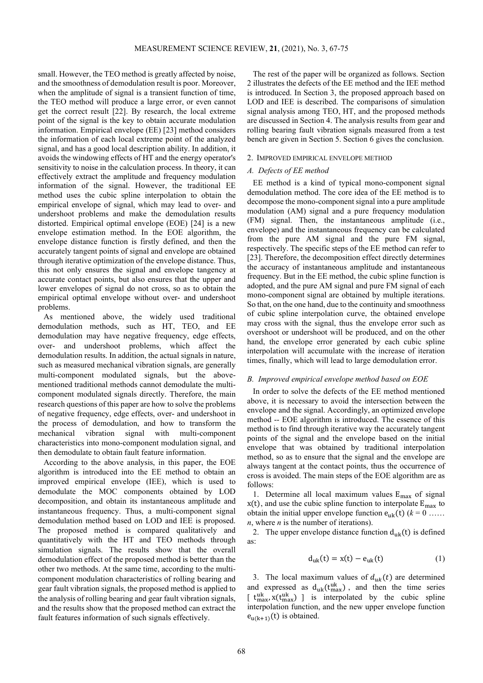small. However, the TEO method is greatly affected by noise, and the smoothness of demodulation result is poor. Moreover, when the amplitude of signal is a transient function of time, the TEO method will produce a large error, or even cannot get the correct result [22]. By research, the local extreme point of the signal is the key to obtain accurate modulation information. Empirical envelope (EE) [23] method considers the information of each local extreme point of the analyzed signal, and has a good local description ability. In addition, it avoids the windowing effects of HT and the energy operator's sensitivity to noise in the calculation process. In theory, it can effectively extract the amplitude and frequency modulation information of the signal. However, the traditional EE method uses the cubic spline interpolation to obtain the empirical envelope of signal, which may lead to over- and undershoot problems and make the demodulation results distorted. Empirical optimal envelope (EOE) [24] is a new envelope estimation method. In the EOE algorithm, the envelope distance function is firstly defined, and then the accurately tangent points of signal and envelope are obtained through iterative optimization of the envelope distance. Thus, this not only ensures the signal and envelope tangency at accurate contact points, but also ensures that the upper and lower envelopes of signal do not cross, so as to obtain the empirical optimal envelope without over- and undershoot problems.

As mentioned above, the widely used traditional demodulation methods, such as HT, TEO, and EE demodulation may have negative frequency, edge effects, over- and undershoot problems, which affect the demodulation results. In addition, the actual signals in nature, such as measured mechanical vibration signals, are generally multi-component modulated signals, but the abovementioned traditional methods cannot demodulate the multicomponent modulated signals directly. Therefore, the main research questions of this paper are how to solve the problems of negative frequency, edge effects, over- and undershoot in the process of demodulation, and how to transform the mechanical vibration signal with multi-component characteristics into mono-component modulation signal, and then demodulate to obtain fault feature information.

According to the above analysis, in this paper, the EOE algorithm is introduced into the EE method to obtain an improved empirical envelope (IEE), which is used to demodulate the MOC components obtained by LOD decomposition, and obtain its instantaneous amplitude and instantaneous frequency. Thus, a multi-component signal demodulation method based on LOD and IEE is proposed. The proposed method is compared qualitatively and quantitatively with the HT and TEO methods through simulation signals. The results show that the overall demodulation effect of the proposed method is better than the other two methods. At the same time, according to the multicomponent modulation characteristics of rolling bearing and gear fault vibration signals, the proposed method is applied to the analysis of rolling bearing and gear fault vibration signals, and the results show that the proposed method can extract the fault features information of such signals effectively.

The rest of the paper will be organized as follows. Section 2 illustrates the defects of the EE method and the IEE method is introduced. In Section 3, the proposed approach based on LOD and IEE is described. The comparisons of simulation signal analysis among TEO, HT, and the proposed methods are discussed in Section 4. The analysis results from gear and rolling bearing fault vibration signals measured from a test bench are given in Section 5. Section 6 gives the conclusion.

## 2. IMPROVED EMPIRICAL ENVELOPE METHOD

#### *A. Defects of EE method*

EE method is a kind of typical mono-component signal demodulation method. The core idea of the EE method is to decompose the mono-component signal into a pure amplitude modulation (AM) signal and a pure frequency modulation (FM) signal. Then, the instantaneous amplitude (i.e., envelope) and the instantaneous frequency can be calculated from the pure AM signal and the pure FM signal, respectively. The specific steps of the EE method can refer to [23]. Therefore, the decomposition effect directly determines the accuracy of instantaneous amplitude and instantaneous frequency. But in the EE method, the cubic spline function is adopted, and the pure AM signal and pure FM signal of each mono-component signal are obtained by multiple iterations. So that, on the one hand, due to the continuity and smoothness of cubic spline interpolation curve, the obtained envelope may cross with the signal, thus the envelope error such as overshoot or undershoot will be produced, and on the other hand, the envelope error generated by each cubic spline interpolation will accumulate with the increase of iteration times, finally, which will lead to large demodulation error.

#### *B. Improved empirical envelope method based on EOE*

In order to solve the defects of the EE method mentioned above, it is necessary to avoid the intersection between the envelope and the signal. Accordingly, an optimized envelope method -- EOE algorithm is introduced. The essence of this method is to find through iterative way the accurately tangent points of the signal and the envelope based on the initial envelope that was obtained by traditional interpolation method, so as to ensure that the signal and the envelope are always tangent at the contact points, thus the occurrence of cross is avoided. The main steps of the EOE algorithm are as follows:

1. Determine all local maximum values  $E_{\text{max}}$  of signal  $x(t)$ , and use the cubic spline function to interpolate  $E_{\text{max}}$  to obtain the initial upper envelope function  $e_{uk}(t)$  ( $k = 0$  ...... *n*, where *n* is the number of iterations).

2. The upper envelope distance function  $d_{nk}(t)$  is defined as:

$$
d_{uk}(t) = x(t) - e_{uk}(t)
$$
 (1)

3. The local maximum values of  $d_{uk}(t)$  are determined and expressed as  $d_{uk}(t_{max}^{uk})$ , and then the time series  $\left[ \begin{array}{cc} t_{\text{max}}^{\text{uk}}, x(t_{\text{max}}^{\text{uk}}) \end{array} \right]$  is interpolated by the cubic spline interpolation function, and the new upper envelope function  $e_{u(k+1)}(t)$  is obtained.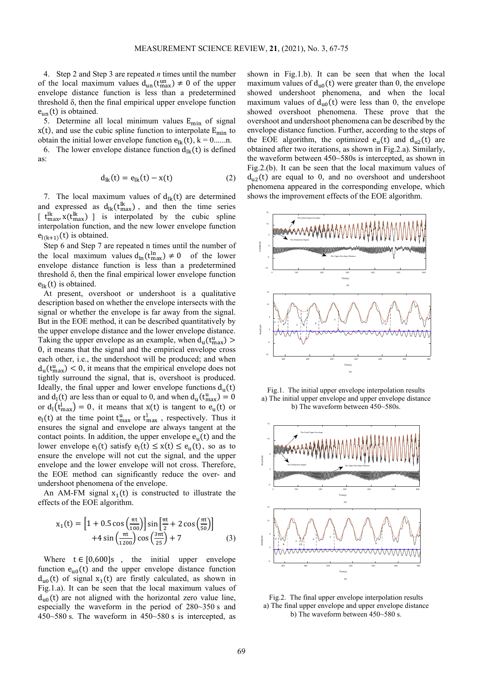4. Step 2 and Step 3 are repeated *n* times until the number of the local maximum values  $d_{un}(t_{max}^{\text{un}}) \neq 0$  of the upper envelope distance function is less than a predetermined threshold δ, then the final empirical upper envelope function  $e_{un}(t)$  is obtained.

5. Determine all local minimum values  $E_{\text{min}}$  of signal  $x(t)$ , and use the cubic spline function to interpolate  $E_{min}$  to

obtain the initial lower envelope function  $e_{ik}(t)$ ,  $k = 0$ ......n.<br>6. The lower envelope distance function  $d_{1k}(t)$  is define The lower envelope distance function  $d_{1k}(t)$  is defined as:

$$
d_{lk}(t) = e_{lk}(t) - x(t)
$$
 (2)

7. The local maximum values of  $d_{lk}(t)$  are determined and expressed as  $d_{lk}(t_{max}^{lk})$ , and then the time series  $[t_{\text{max}}^k, x(t_{\text{max}}^k)]$  is interpolated by the cubic spline interpolation function, and the new lower envelope function  $e_{l(k+1)}(t)$  is obtained.

Step 6 and Step 7 are repeated n times until the number of the local maximum values  $d_{\text{ln}}(t_{\text{max}}^{\text{ln}}) \neq 0$  of the lower envelope distance function is less than a predetermined threshold δ, then the final empirical lower envelope function  $e_{lk}(t)$  is obtained.

At present, overshoot or undershoot is a qualitative description based on whether the envelope intersects with the signal or whether the envelope is far away from the signal. But in the EOE method, it can be described quantitatively by the upper envelope distance and the lower envelope distance. Taking the upper envelope as an example, when  $d_u(t_{max}^u)$ 0, it means that the signal and the empirical envelope cross each other, i.e., the undershoot will be produced; and when  $d_u(t_{\text{max}}^u) < 0$ , it means that the empirical envelope does not tightly surround the signal, that is, overshoot is produced. Ideally, the final upper and lower envelope functions  $d<sub>u</sub>(t)$ and  $d_l(t)$  are less than or equal to 0, and when  $d_u(t_{max}^u) = 0$ or  $d_l(t_{\text{max}}^l) = 0$ , it means that  $x(t)$  is tangent to  $e_u(t)$  or  $e_l(t)$  at the time point  $t_{max}^u$  or  $t_{max}^l$ , respectively. Thus it ensures the signal and envelope are always tangent at the contact points. In addition, the upper envelope  $e_u(t)$  and the lower envelope  $e_1(t)$  satisfy  $e_1(t) \le x(t) \le e_1(t)$ , so as to ensure the envelope will not cut the signal, and the upper envelope and the lower envelope will not cross. Therefore, the EOE method can significantly reduce the over- and undershoot phenomena of the envelope.

An AM-FM signal  $x_1(t)$  is constructed to illustrate the effects of the EOE algorithm.

$$
x_1(t) = \left[1 + 0.5 \cos\left(\frac{\pi t}{100}\right) \right] \sin\left[\frac{\pi t}{2} + 2 \cos\left(\frac{\pi t}{50}\right)\right] + 4 \sin\left(\frac{\pi t}{1200}\right) \cos\left(\frac{3\pi t}{25}\right) + 7
$$
 (3)

Where  $t \in [0,600]$ s, the initial upper envelope function  $e_{u0}(t)$  and the upper envelope distance function  $d_{u0}(t)$  of signal  $x_1(t)$  are firstly calculated, as shown in Fig.1.a). It can be seen that the local maximum values of  $d_{u0}(t)$  are not aligned with the horizontal zero value line, especially the waveform in the period of 280~350 s and 450~580 s. The waveform in 450~580 s is intercepted, as

shown in Fig.1.b). It can be seen that when the local maximum values of  $d_{u0}(t)$  were greater than 0, the envelope showed undershoot phenomena, and when the local maximum values of  $d_{u0}(t)$  were less than 0, the envelope showed overshoot phenomena. These prove that the overshoot and undershoot phenomena can be described by the envelope distance function. Further, according to the steps of the EOE algorithm, the optimized  $e_u(t)$  and  $d_{u2}(t)$  are obtained after two iterations, as shown in Fig.2.a). Similarly, the waveform between 450~580s is intercepted, as shown in Fig.2.(b). It can be seen that the local maximum values of  $d_{u2}(t)$  are equal to 0, and no overshoot and undershoot phenomena appeared in the corresponding envelope, which shows the improvement effects of the EOE algorithm.



Fig.1. The initial upper envelope interpolation results a) The initial upper envelope and upper envelope distance b) The waveform between 450~580s.



Fig.2. The final upper envelope interpolation results a) The final upper envelope and upper envelope distance b) The waveform between 450~580 s.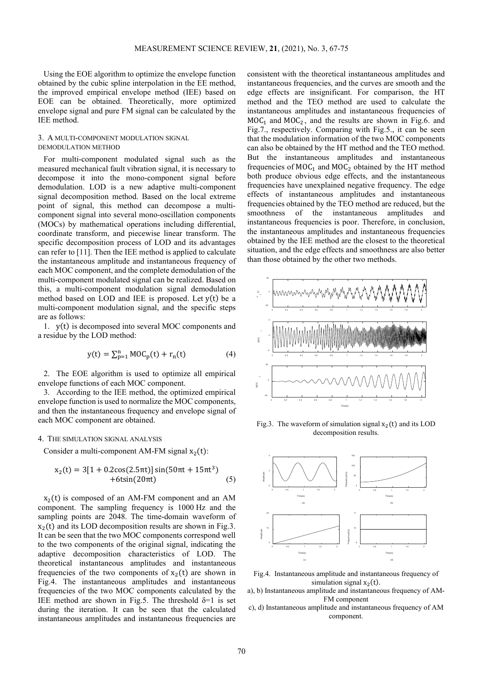Using the EOE algorithm to optimize the envelope function obtained by the cubic spline interpolation in the EE method, the improved empirical envelope method (IEE) based on EOE can be obtained. Theoretically, more optimized envelope signal and pure FM signal can be calculated by the IEE method.

# 3. A MULTI-COMPONENT MODULATION SIGNAL DEMODULATION METHOD

For multi-component modulated signal such as the measured mechanical fault vibration signal, it is necessary to decompose it into the mono-component signal before demodulation. LOD is a new adaptive multi-component signal decomposition method. Based on the local extreme point of signal, this method can decompose a multicomponent signal into several mono-oscillation components (MOCs) by mathematical operations including differential, coordinate transform, and piecewise linear transform. The specific decomposition process of LOD and its advantages can refer to [11]. Then the IEE method is applied to calculate the instantaneous amplitude and instantaneous frequency of each MOC component, and the complete demodulation of the multi-component modulated signal can be realized. Based on this, a multi-component modulation signal demodulation method based on LOD and IEE is proposed. Let y(t) be a multi-component modulation signal, and the specific steps are as follows:

1. y(t) is decomposed into several MOC components and a residue by the LOD method:

$$
y(t) = \sum_{p=1}^{n} MOC_p(t) + r_n(t)
$$
 (4)

2. The EOE algorithm is used to optimize all empirical envelope functions of each MOC component.

3. According to the IEE method, the optimized empirical envelope function is used to normalize the MOC components, and then the instantaneous frequency and envelope signal of each MOC component are obtained.

## 4. THE SIMULATION SIGNAL ANALYSIS

Consider a multi-component AM-FM signal  $x_2(t)$ :

$$
x_2(t) = 3[1 + 0.2\cos(2.5\pi t)]\sin(50\pi t + 15\pi t^3) +6\sin(20\pi t)
$$
 (5)

 $x<sub>2</sub>(t)$  is composed of an AM-FM component and an AM component. The sampling frequency is 1000 Hz and the sampling points are 2048. The time-domain waveform of  $x<sub>2</sub>(t)$  and its LOD decomposition results are shown in Fig.3. It can be seen that the two MOC components correspond well to the two components of the original signal, indicating the adaptive decomposition characteristics of LOD. The theoretical instantaneous amplitudes and instantaneous frequencies of the two components of  $x_2(t)$  are shown in Fig.4. The instantaneous amplitudes and instantaneous frequencies of the two MOC components calculated by the IEE method are shown in Fig.5. The threshold  $\delta=1$  is set during the iteration. It can be seen that the calculated instantaneous amplitudes and instantaneous frequencies are consistent with the theoretical instantaneous amplitudes and instantaneous frequencies, and the curves are smooth and the edge effects are insignificant. For comparison, the HT method and the TEO method are used to calculate the instantaneous amplitudes and instantaneous frequencies of  $MOC<sub>1</sub>$  and  $MOC<sub>2</sub>$ , and the results are shown in Fig.6. and Fig.7., respectively. Comparing with Fig.5., it can be seen that the modulation information of the two MOC components can also be obtained by the HT method and the TEO method. But the instantaneous amplitudes and instantaneous frequencies of  $MOC_1$  and  $MOC_2$  obtained by the HT method both produce obvious edge effects, and the instantaneous frequencies have unexplained negative frequency. The edge effects of instantaneous amplitudes and instantaneous frequencies obtained by the TEO method are reduced, but the smoothness of the instantaneous amplitudes and instantaneous frequencies is poor. Therefore, in conclusion, the instantaneous amplitudes and instantaneous frequencies obtained by the IEE method are the closest to the theoretical situation, and the edge effects and smoothness are also better than those obtained by the other two methods.



Fig.3. The waveform of simulation signal  $x_2(t)$  and its LOD decomposition results.



Fig.4. Instantaneous amplitude and instantaneous frequency of simulation signal  $x_2(t)$ .

- a), b) Instantaneous amplitude and instantaneous frequency of AM-FM component
- c), d) Instantaneous amplitude and instantaneous frequency of AM component.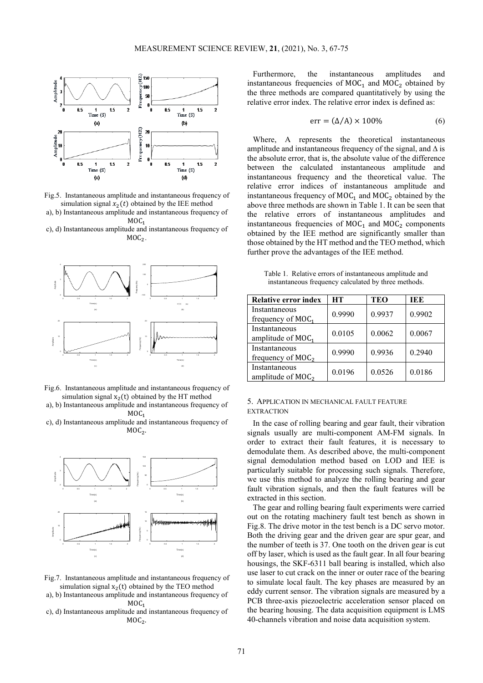

Fig.5. Instantaneous amplitude and instantaneous frequency of simulation signal  $x_2(t)$  obtained by the IEE method

a), b) Instantaneous amplitude and instantaneous frequency of  $MOC<sub>1</sub>$ 

c), d) Instantaneous amplitude and instantaneous frequency of  $MOC<sub>2</sub>$ .



Fig.6. Instantaneous amplitude and instantaneous frequency of simulation signal  $x_2(t)$  obtained by the HT method

a), b) Instantaneous amplitude and instantaneous frequency of  $MOC<sub>1</sub>$ 

c), d) Instantaneous amplitude and instantaneous frequency of  $MOC<sub>2</sub>$ .



- Fig.7. Instantaneous amplitude and instantaneous frequency of simulation signal  $x_2(t)$  obtained by the TEO method
- a), b) Instantaneous amplitude and instantaneous frequency of  $MOC<sub>1</sub>$
- c), d) Instantaneous amplitude and instantaneous frequency of  $MOC<sub>2</sub>$ .

Furthermore, the instantaneous amplitudes and instantaneous frequencies of  $MOC_1$  and  $MOC_2$  obtained by the three methods are compared quantitatively by using the relative error index. The relative error index is defined as:

$$
err = (\Delta/A) \times 100\% \tag{6}
$$

Where, A represents the theoretical instantaneous amplitude and instantaneous frequency of the signal, and  $\Delta$  is the absolute error, that is, the absolute value of the difference between the calculated instantaneous amplitude and instantaneous frequency and the theoretical value. The relative error indices of instantaneous amplitude and instantaneous frequency of  $MOC_1$  and  $MOC_2$  obtained by the above three methods are shown in Table 1. It can be seen that the relative errors of instantaneous amplitudes and instantaneous frequencies of  $MOC_1$  and  $MOC_2$  components obtained by the IEE method are significantly smaller than those obtained by the HT method and the TEO method, which further prove the advantages of the IEE method.

Table 1. Relative errors of instantaneous amplitude and instantaneous frequency calculated by three methods.

| <b>Relative error index</b>           | HТ     | TEO    | IEE    |
|---------------------------------------|--------|--------|--------|
| Instantaneous<br>frequency of $MOC_1$ | 0.9990 | 0.9937 | 0.9902 |
| Instantaneous<br>amplitude of $MOC_1$ | 0.0105 | 0.0062 | 0.0067 |
| Instantaneous<br>frequency of $MOC2$  | 0.9990 | 0.9936 | 0.2940 |
| Instantaneous<br>amplitude of $MOC2$  | 0.0196 | 0.0526 | 0.0186 |

## 5. APPLICATION IN MECHANICAL FAULT FEATURE **EXTRACTION**

In the case of rolling bearing and gear fault, their vibration signals usually are multi-component AM-FM signals. In order to extract their fault features, it is necessary to demodulate them. As described above, the multi-component signal demodulation method based on LOD and IEE is particularly suitable for processing such signals. Therefore, we use this method to analyze the rolling bearing and gear fault vibration signals, and then the fault features will be extracted in this section.

The gear and rolling bearing fault experiments were carried out on the rotating machinery fault test bench as shown in Fig.8. The drive motor in the test bench is a DC servo motor. Both the driving gear and the driven gear are spur gear, and the number of teeth is 37. One tooth on the driven gear is cut off by laser, which is used as the fault gear. In all four bearing housings, the SKF-6311 ball bearing is installed, which also use laser to cut crack on the inner or outer race of the bearing to simulate local fault. The key phases are measured by an eddy current sensor. The vibration signals are measured by a PCB three-axis piezoelectric acceleration sensor placed on the bearing housing. The data acquisition equipment is LMS 40-channels vibration and noise data acquisition system.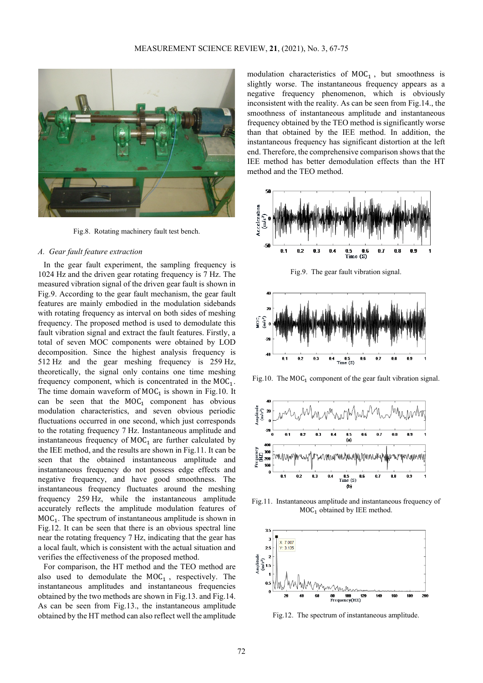

Fig.8. Rotating machinery fault test bench.

#### *A. Gear fault feature extraction*

In the gear fault experiment, the sampling frequency is 1024 Hz and the driven gear rotating frequency is 7 Hz. The measured vibration signal of the driven gear fault is shown in Fig.9. According to the gear fault mechanism, the gear fault features are mainly embodied in the modulation sidebands with rotating frequency as interval on both sides of meshing frequency. The proposed method is used to demodulate this fault vibration signal and extract the fault features. Firstly, a total of seven MOC components were obtained by LOD decomposition. Since the highest analysis frequency is 512 Hz and the gear meshing frequency is 259 Hz, theoretically, the signal only contains one time meshing frequency component, which is concentrated in the  $MOC_1$ . The time domain waveform of  $MOC<sub>1</sub>$  is shown in Fig.10. It can be seen that the  $MOC<sub>1</sub>$  component has obvious modulation characteristics, and seven obvious periodic fluctuations occurred in one second, which just corresponds to the rotating frequency 7 Hz. Instantaneous amplitude and instantaneous frequency of  $MOC<sub>1</sub>$  are further calculated by the IEE method, and the results are shown in Fig.11. It can be seen that the obtained instantaneous amplitude and instantaneous frequency do not possess edge effects and negative frequency, and have good smoothness. The instantaneous frequency fluctuates around the meshing frequency 259 Hz, while the instantaneous amplitude accurately reflects the amplitude modulation features of  $MOC<sub>1</sub>$ . The spectrum of instantaneous amplitude is shown in Fig.12. It can be seen that there is an obvious spectral line near the rotating frequency 7 Hz, indicating that the gear has a local fault, which is consistent with the actual situation and verifies the effectiveness of the proposed method.

For comparison, the HT method and the TEO method are also used to demodulate the  $MOC<sub>1</sub>$ , respectively. The instantaneous amplitudes and instantaneous frequencies obtained by the two methods are shown in Fig.13. and Fig.14. As can be seen from Fig.13., the instantaneous amplitude obtained by the HT method can also reflect well the amplitude

modulation characteristics of  $MOC<sub>1</sub>$ , but smoothness is slightly worse. The instantaneous frequency appears as a negative frequency phenomenon, which is obviously inconsistent with the reality. As can be seen from Fig.14., the smoothness of instantaneous amplitude and instantaneous frequency obtained by the TEO method is significantly worse than that obtained by the IEE method. In addition, the instantaneous frequency has significant distortion at the left end. Therefore, the comprehensive comparison shows that the IEE method has better demodulation effects than the HT method and the TEO method.



Fig.9. The gear fault vibration signal.



Fig.10. The  $MOC_1$  component of the gear fault vibration signal.



Fig.11. Instantaneous amplitude and instantaneous frequency of  $MOC<sub>1</sub>$  obtained by IEE method.



Fig.12. The spectrum of instantaneous amplitude.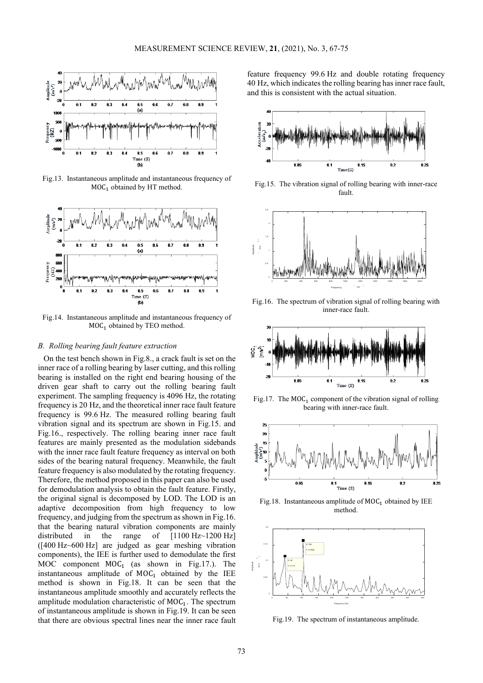

Fig.13. Instantaneous amplitude and instantaneous frequency of  $MOC<sub>1</sub>$  obtained by HT method.



Fig.14. Instantaneous amplitude and instantaneous frequency of  $MOC<sub>1</sub>$  obtained by TEO method.

## *B. Rolling bearing fault feature extraction*

On the test bench shown in Fig.8., a crack fault is set on the inner race of a rolling bearing by laser cutting, and this rolling bearing is installed on the right end bearing housing of the driven gear shaft to carry out the rolling bearing fault experiment. The sampling frequency is 4096 Hz, the rotating frequency is 20 Hz, and the theoretical inner race fault feature frequency is 99.6 Hz. The measured rolling bearing fault vibration signal and its spectrum are shown in Fig.15. and Fig.16., respectively. The rolling bearing inner race fault features are mainly presented as the modulation sidebands with the inner race fault feature frequency as interval on both sides of the bearing natural frequency. Meanwhile, the fault feature frequency is also modulated by the rotating frequency. Therefore, the method proposed in this paper can also be used for demodulation analysis to obtain the fault feature. Firstly, the original signal is decomposed by LOD. The LOD is an adaptive decomposition from high frequency to low frequency, and judging from the spectrum as shown in Fig.16. that the bearing natural vibration components are mainly distributed in the range of [1100 Hz~1200 Hz] ([400 Hz~600 Hz] are judged as gear meshing vibration components), the IEE is further used to demodulate the first MOC component  $MOC_1$  (as shown in Fig.17.). The instantaneous amplitude of  $MOC_1$  obtained by the IEE method is shown in Fig.18. It can be seen that the instantaneous amplitude smoothly and accurately reflects the amplitude modulation characteristic of  $MOC<sub>1</sub>$ . The spectrum of instantaneous amplitude is shown in Fig.19. It can be seen that there are obvious spectral lines near the inner race fault feature frequency 99.6 Hz and double rotating frequency 40 Hz, which indicates the rolling bearing has inner race fault, and this is consistent with the actual situation.



Fig.15. The vibration signal of rolling bearing with inner-race fault.



Fig.16. The spectrum of vibration signal of rolling bearing with inner-race fault.



Fig.17. The  $MOC_1$  component of the vibration signal of rolling bearing with inner-race fault.



Fig.18. Instantaneous amplitude of  $MOC_1$  obtained by IEE method.



Fig.19. The spectrum of instantaneous amplitude.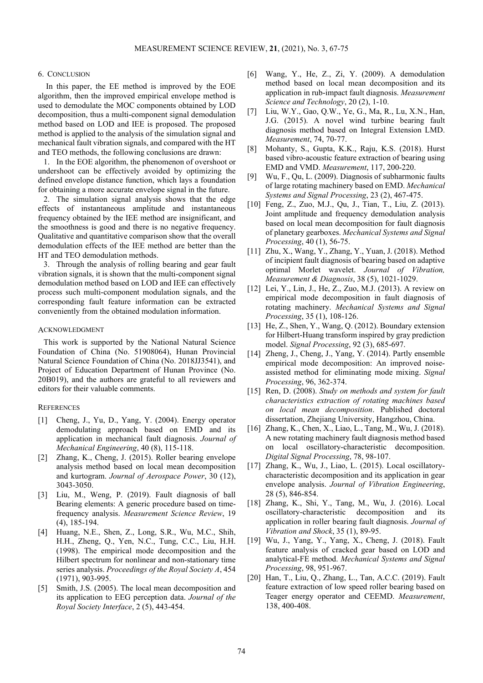## 6. CONCLUSION

In this paper, the EE method is improved by the EOE algorithm, then the improved empirical envelope method is used to demodulate the MOC components obtained by LOD decomposition, thus a multi-component signal demodulation method based on LOD and IEE is proposed. The proposed method is applied to the analysis of the simulation signal and mechanical fault vibration signals, and compared with the HT and TEO methods, the following conclusions are drawn:

1. In the EOE algorithm, the phenomenon of overshoot or undershoot can be effectively avoided by optimizing the defined envelope distance function, which lays a foundation for obtaining a more accurate envelope signal in the future.

2. The simulation signal analysis shows that the edge effects of instantaneous amplitude and instantaneous frequency obtained by the IEE method are insignificant, and the smoothness is good and there is no negative frequency. Qualitative and quantitative comparison show that the overall demodulation effects of the IEE method are better than the HT and TEO demodulation methods.

3. Through the analysis of rolling bearing and gear fault vibration signals, it is shown that the multi-component signal demodulation method based on LOD and IEE can effectively process such multi-component modulation signals, and the corresponding fault feature information can be extracted conveniently from the obtained modulation information.

#### ACKNOWLEDGMENT

This work is supported by the National Natural Science Foundation of China (No. 51908064), Hunan Provincial Natural Science Foundation of China (No. 2018JJ3541), and Project of Education Department of Hunan Province (No. 20B019), and the authors are grateful to all reviewers and editors for their valuable comments.

## **REFERENCES**

- [1] Cheng, J., Yu, D., Yang, Y. (2004). Energy operator demodulating approach based on EMD and its application in mechanical fault diagnosis. *Journal of Mechanical Engineering*, 40 (8), 115-118.
- [2] Zhang, K., Cheng, J. (2015). Roller bearing envelope analysis method based on local mean decomposition and kurtogram. *Journal of Aerospace Power*, 30 (12), 3043-3050.
- [3] Liu, M., Weng, P. (2019). Fault diagnosis of ball Bearing elements: A generic procedure based on timefrequency analysis. *Measurement Science Review*, 19 (4), 185-194.
- [4] Huang, N.E., Shen, Z., Long, S.R., Wu, M.C., Shih, H.H., Zheng, Q., Yen, N.C., Tung, C.C., Liu, H.H. (1998). The empirical mode decomposition and the Hilbert spectrum for nonlinear and non-stationary time series analysis. *Proceedings of the Royal Society A*, 454 (1971), 903-995.
- [5] Smith, J.S. (2005). The local mean decomposition and its application to EEG perception data. *Journal of the Royal Society Interface*, 2 (5), 443-454.
- [6] Wang, Y., He, Z., Zi, Y. (2009). A demodulation method based on local mean decomposition and its application in rub-impact fault diagnosis. *Measurement Science and Technology*, 20 (2), 1-10.
- [7] Liu, W.Y., Gao, Q.W., Ye, G., Ma, R., Lu, X.N., Han, J.G. (2015). A novel wind turbine bearing fault diagnosis method based on Integral Extension LMD. *Measurement*, 74, 70-77.
- [8] Mohanty, S., Gupta, K.K., Raju, K.S. (2018). Hurst based vibro-acoustic feature extraction of bearing using EMD and VMD. *Measurement*, 117, 200-220.
- [9] Wu, F., Qu, L. (2009). Diagnosis of subharmonic faults of large rotating machinery based on EMD. *Mechanical Systems and Signal Processing*, 23 (2), 467-475.
- [10] Feng, Z., Zuo, M.J., Qu, J., Tian, T., Liu, Z. (2013). Joint amplitude and frequency demodulation analysis based on local mean decomposition for fault diagnosis of planetary gearboxes. *Mechanical Systems and Signal Processing*, 40 (1), 56-75.
- [11] Zhu, X., Wang, Y., Zhang, Y., Yuan, J. (2018). Method of incipient fault diagnosis of bearing based on adaptive optimal Morlet wavelet. *Journal of Vibration, Measurement & Diagnosis*, 38 (5), 1021-1029.
- [12] Lei, Y., Lin, J., He, Z., Zuo, M.J. (2013). A review on empirical mode decomposition in fault diagnosis of rotating machinery. *Mechanical Systems and Signal Processing*, 35 (1), 108-126.
- [13] He, Z., Shen, Y., Wang, O. (2012). Boundary extension for Hilbert-Huang transform inspired by gray prediction model. *Signal Processing*, 92 (3), 685-697.
- [14] Zheng, J., Cheng, J., Yang, Y. (2014). Partly ensemble empirical mode decomposition: An improved noiseassisted method for eliminating mode mixing. *Signal Processing*, 96, 362-374.
- [15] Ren, D. (2008). *Study on methods and system for fault characteristics extraction of rotating machines based on local mean decomposition*. Published doctoral dissertation, Zheijang University, Hangzhou, China.
- [16] Zhang, K., Chen, X., Liao, L., Tang, M., Wu, J. (2018). A new rotating machinery fault diagnosis method based on local oscillatory-characteristic decomposition. *Digital Signal Processing*, 78, 98-107.
- [17] Zhang, K., Wu, J., Liao, L. (2015). Local oscillatorycharacteristic decomposition and its application in gear envelope analysis. *Journal of Vibration Engineering*, 28 (5), 846-854.
- [18] Zhang, K., Shi, Y., Tang, M., Wu, J. (2016). Local oscillatory-characteristic decomposition and its application in roller bearing fault diagnosis. *Journal of Vibration and Shock*, 35 (1), 89-95.
- [19] Wu, J., Yang, Y., Yang, X., Cheng, J. (2018). Fault feature analysis of cracked gear based on LOD and analytical-FE method. *Mechanical Systems and Signal Processing*, 98, 951-967.
- [20] Han, T., Liu, Q., Zhang, L., Tan, A.C.C. (2019). Fault feature extraction of low speed roller bearing based on Teager energy operator and CEEMD. *Measurement*, 138, 400-408.